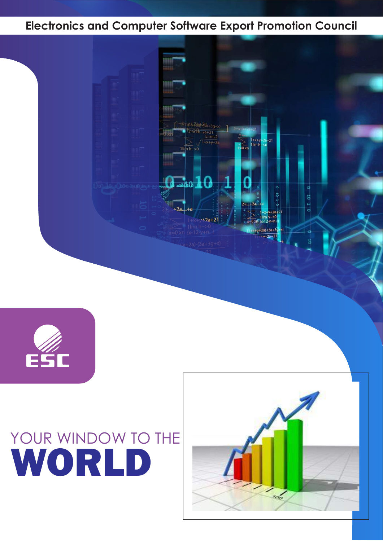







### **Electronics and Computer Software Export Promotion Council**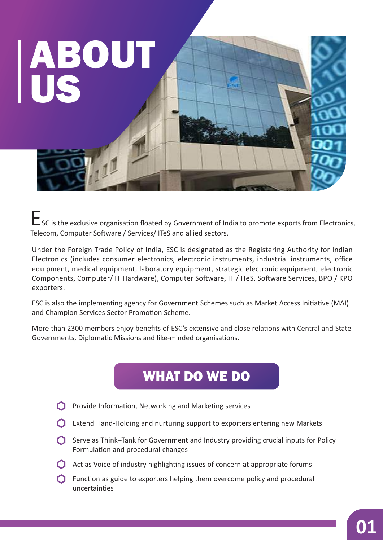

ESC is the exclusive organisation floated by Government of India to promote exports from Electronics, Telecom, Computer Software / Services/ ITeS and allied sectors.

Under the Foreign Trade Policy of India, ESC is designated as the Registering Authority for Indian Electronics (includes consumer electronics, electronic instruments, industrial instruments, office equipment, medical equipment, laboratory equipment, strategic electronic equipment, electronic Components, Computer/ IT Hardware), Computer Software, IT / ITeS, Software Services, BPO / KPO exporters.

ESC is also the implementing agency for Government Schemes such as Market Access Initiative (MAI) and Champion Services Sector Promotion Scheme.

More than 2300 members enjoy benefits of ESC's extensive and close relations with Central and State Governments, Diplomatic Missions and like-minded organisations.

# WHAT DO WE DO

- $\bigcirc$  Provide Information, Networking and Marketing services
- Extend Hand-Holding and nurturing support to exporters entering new Markets
- $\bigcap$  Serve as Think–Tank for Government and Industry providing crucial inputs for Policy Formulation and procedural changes
- $\bigcap$  Act as Voice of industry highlighting issues of concern at appropriate forums
- $\bigcap$  Function as guide to exporters helping them overcome policy and procedural uncertainties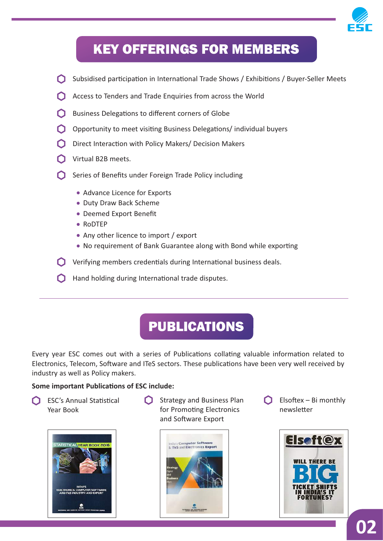

# KEY OFFERINGS FOR MEMBERS

- **C** Subsidised participation in International Trade Shows / Exhibitions / Buyer-Seller Meets
- Access to Tenders and Trade Enquiries from across the World
- Business Delegations to different corners of Globe n
- O Opportunity to meet visiting Business Delegations/ individual buyers
- $\bigcap$  Direct Interaction with Policy Makers/ Decision Makers
- Virtual B2B meets.
- Series of Benefits under Foreign Trade Policy including
	- Advance Licence for Exports
	- Duty Draw Back Scheme
	- Deemed Export Benefit
	- RoDTEP
	- Any other licence to import / export
	- No requirement of Bank Guarantee along with Bond while exporting
- $\bigcirc$  Verifying members credentials during International business deals.
- $\bigcap$  Hand holding during International trade disputes.

## PUBLICATIONS

Every year ESC comes out with a series of Publications collating valuable information related to Electronics, Telecom, Software and ITeS sectors. These publications have been very well received by industry as well as Policy makers.

#### **Some important Publications of ESC include:**

∩ ESC's Annual Statistical Year Book



Strategy and Business Plan for Promoting Electronics and Software Export



 $\bigcap$  Elsoftex – Bi monthly newsletter

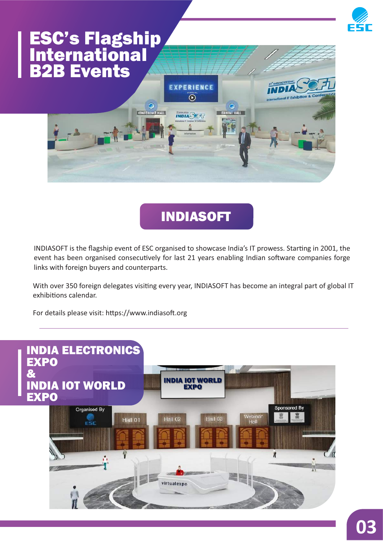

# INDIASOFT

INDIASOFT is the flagship event of ESC organised to showcase India's IT prowess. Starting in 2001, the event has been organised consecutively for last 21 years enabling Indian software companies forge links with foreign buyers and counterparts.

With over 350 foreign delegates visiting every year, INDIASOFT has become an integral part of global IT exhibitions calendar.

For details please visit: https://www.indiasoft.org